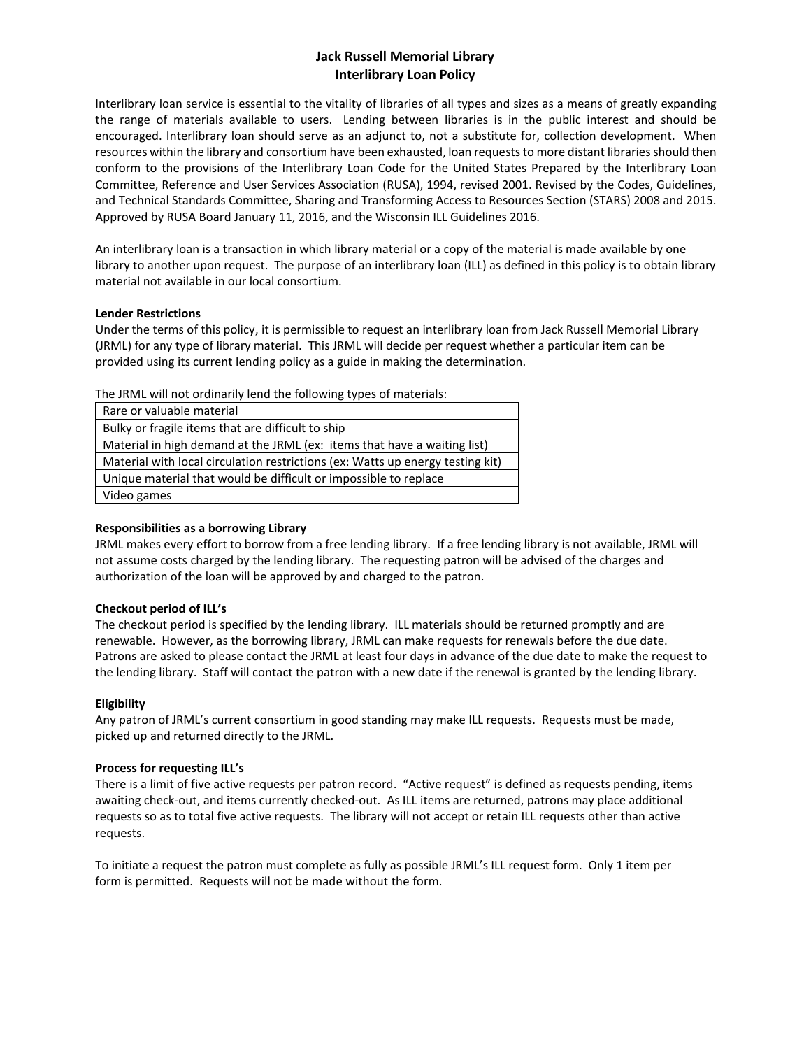# **Jack Russell Memorial Library Interlibrary Loan Policy**

Interlibrary loan service is essential to the vitality of libraries of all types and sizes as a means of greatly expanding the range of materials available to users. Lending between libraries is in the public interest and should be encouraged. Interlibrary loan should serve as an adjunct to, not a substitute for, collection development. When resources within the library and consortium have been exhausted, loan requests to more distant libraries should then conform to the provisions of the Interlibrary Loan Code for the United States Prepared by the Interlibrary Loan Committee, Reference and User Services Association (RUSA), 1994, revised 2001. Revised by the Codes, Guidelines, and Technical Standards Committee, Sharing and Transforming Access to Resources Section (STARS) 2008 and 2015. Approved by RUSA Board January 11, 2016, and the Wisconsin ILL Guidelines 2016.

An interlibrary loan is a transaction in which library material or a copy of the material is made available by one library to another upon request. The purpose of an interlibrary loan (ILL) as defined in this policy is to obtain library material not available in our local consortium.

## **Lender Restrictions**

Under the terms of this policy, it is permissible to request an interlibrary loan from Jack Russell Memorial Library (JRML) for any type of library material. This JRML will decide per request whether a particular item can be provided using its current lending policy as a guide in making the determination.

The JRML will not ordinarily lend the following types of materials:

| Rare or valuable material                                                      |
|--------------------------------------------------------------------------------|
| Bulky or fragile items that are difficult to ship                              |
| Material in high demand at the JRML (ex: items that have a waiting list)       |
| Material with local circulation restrictions (ex: Watts up energy testing kit) |
| Unique material that would be difficult or impossible to replace               |
| Video games                                                                    |

## **Responsibilities as a borrowing Library**

JRML makes every effort to borrow from a free lending library. If a free lending library is not available, JRML will not assume costs charged by the lending library. The requesting patron will be advised of the charges and authorization of the loan will be approved by and charged to the patron.

## **Checkout period of ILL's**

The checkout period is specified by the lending library. ILL materials should be returned promptly and are renewable. However, as the borrowing library, JRML can make requests for renewals before the due date. Patrons are asked to please contact the JRML at least four days in advance of the due date to make the request to the lending library. Staff will contact the patron with a new date if the renewal is granted by the lending library.

## **Eligibility**

Any patron of JRML's current consortium in good standing may make ILL requests. Requests must be made, picked up and returned directly to the JRML.

## **Process for requesting ILL's**

There is a limit of five active requests per patron record. "Active request" is defined as requests pending, items awaiting check-out, and items currently checked-out. As ILL items are returned, patrons may place additional requests so as to total five active requests. The library will not accept or retain ILL requests other than active requests.

To initiate a request the patron must complete as fully as possible JRML's ILL request form. Only 1 item per form is permitted. Requests will not be made without the form.